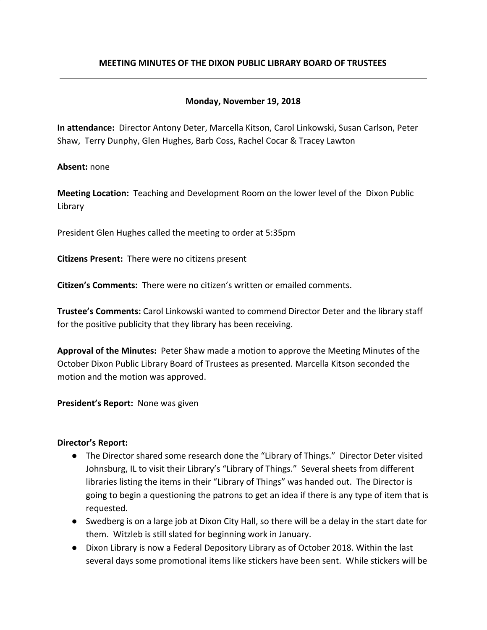# **MEETING MINUTES OF THE DIXON PUBLIC LIBRARY BOARD OF TRUSTEES**

## **Monday, November 19, 2018**

**In attendance:** Director Antony Deter, Marcella Kitson, Carol Linkowski, Susan Carlson, Peter Shaw, Terry Dunphy, Glen Hughes, Barb Coss, Rachel Cocar & Tracey Lawton

**Absent:** none

**Meeting Location:** Teaching and Development Room on the lower level of the Dixon Public Library

President Glen Hughes called the meeting to order at 5:35pm

**Citizens Present:** There were no citizens present

**Citizen's Comments:** There were no citizen's written or emailed comments.

**Trustee's Comments:** Carol Linkowski wanted to commend Director Deter and the library staff for the positive publicity that they library has been receiving.

**Approval of the Minutes:** Peter Shaw made a motion to approve the Meeting Minutes of the October Dixon Public Library Board of Trustees as presented. Marcella Kitson seconded the motion and the motion was approved.

**President's Report:** None was given

### **Director's Report:**

- The Director shared some research done the "Library of Things." Director Deter visited Johnsburg, IL to visit their Library's "Library of Things." Several sheets from different libraries listing the items in their "Library of Things" was handed out. The Director is going to begin a questioning the patrons to get an idea if there is any type of item that is requested.
- Swedberg is on a large job at Dixon City Hall, so there will be a delay in the start date for them. Witzleb is still slated for beginning work in January.
- Dixon Library is now a Federal Depository Library as of October 2018. Within the last several days some promotional items like stickers have been sent. While stickers will be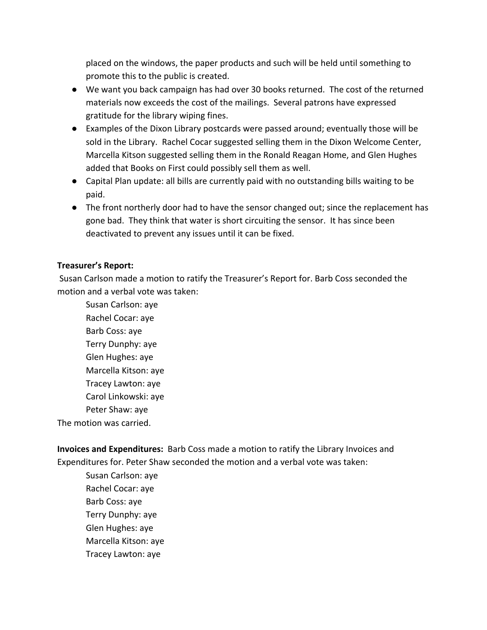placed on the windows, the paper products and such will be held until something to promote this to the public is created.

- We want you back campaign has had over 30 books returned. The cost of the returned materials now exceeds the cost of the mailings. Several patrons have expressed gratitude for the library wiping fines.
- Examples of the Dixon Library postcards were passed around; eventually those will be sold in the Library. Rachel Cocar suggested selling them in the Dixon Welcome Center, Marcella Kitson suggested selling them in the Ronald Reagan Home, and Glen Hughes added that Books on First could possibly sell them as well.
- Capital Plan update: all bills are currently paid with no outstanding bills waiting to be paid.
- The front northerly door had to have the sensor changed out; since the replacement has gone bad. They think that water is short circuiting the sensor. It has since been deactivated to prevent any issues until it can be fixed.

# **Treasurer's Report:**

 Susan Carlson made a motion to ratify the Treasurer's Report for. Barb Coss seconded the motion and a verbal vote was taken:

Susan Carlson: aye Rachel Cocar: aye Barb Coss: aye Terry Dunphy: aye Glen Hughes: aye Marcella Kitson: aye Tracey Lawton: aye Carol Linkowski: aye Peter Shaw: aye The motion was carried.

**Invoices and Expenditures:** Barb Coss made a motion to ratify the Library Invoices and Expenditures for. Peter Shaw seconded the motion and a verbal vote was taken:

Susan Carlson: aye Rachel Cocar: aye Barb Coss: aye Terry Dunphy: aye Glen Hughes: aye Marcella Kitson: aye Tracey Lawton: aye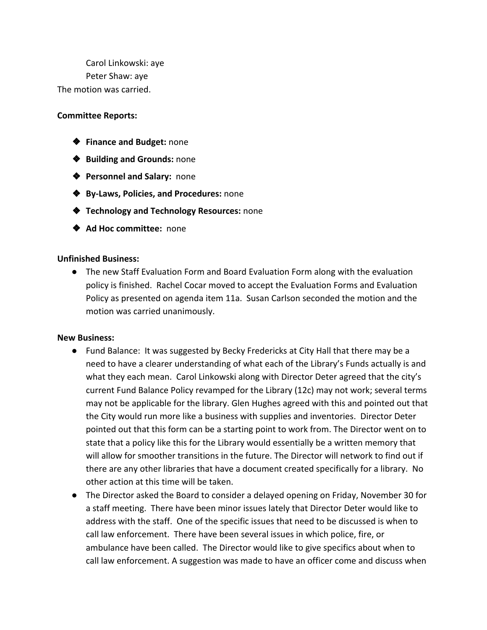Carol Linkowski: aye Peter Shaw: aye The motion was carried.

### **Committee Reports:**

- ❖ **Finance and Budget:** none
- ❖ **Building and Grounds:** none
- ❖ **Personnel and Salary:** none
- ❖ **By-Laws, Policies, and Procedures:** none
- ❖ **Technology and Technology Resources:** none
- ❖ **Ad Hoc committee:** none

#### **Unfinished Business:**

● The new Staff Evaluation Form and Board Evaluation Form along with the evaluation policy is finished. Rachel Cocar moved to accept the Evaluation Forms and Evaluation Policy as presented on agenda item 11a. Susan Carlson seconded the motion and the motion was carried unanimously.

#### **New Business:**

- Fund Balance: It was suggested by Becky Fredericks at City Hall that there may be a need to have a clearer understanding of what each of the Library's Funds actually is and what they each mean. Carol Linkowski along with Director Deter agreed that the city's current Fund Balance Policy revamped for the Library (12c) may not work; several terms may not be applicable for the library. Glen Hughes agreed with this and pointed out that the City would run more like a business with supplies and inventories. Director Deter pointed out that this form can be a starting point to work from. The Director went on to state that a policy like this for the Library would essentially be a written memory that will allow for smoother transitions in the future. The Director will network to find out if there are any other libraries that have a document created specifically for a library. No other action at this time will be taken.
- The Director asked the Board to consider a delayed opening on Friday, November 30 for a staff meeting. There have been minor issues lately that Director Deter would like to address with the staff. One of the specific issues that need to be discussed is when to call law enforcement. There have been several issues in which police, fire, or ambulance have been called. The Director would like to give specifics about when to call law enforcement. A suggestion was made to have an officer come and discuss when